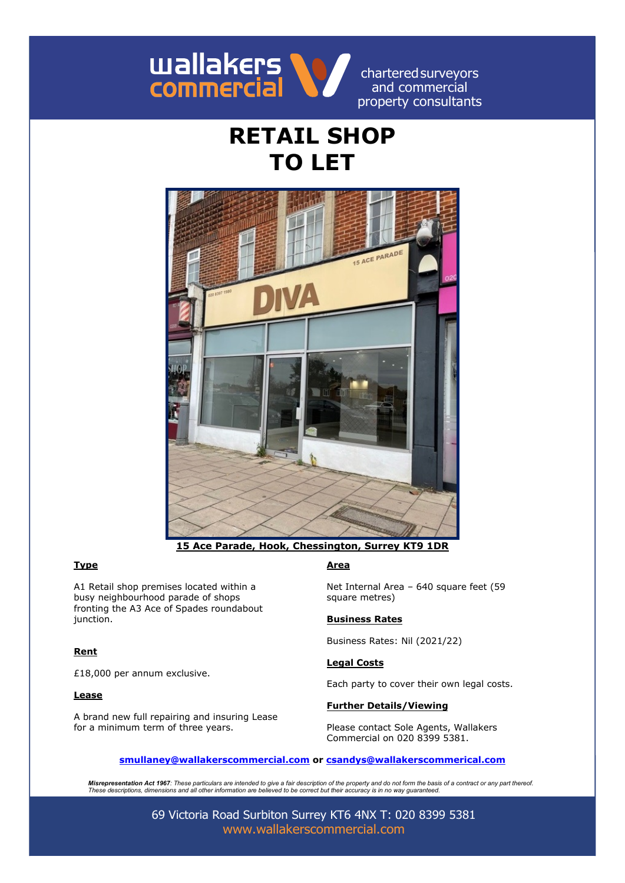

charteredsurveyors and commercial property consultants

# **RETAIL SHOP TO LET**



**15 Ace Parade, Hook, Chessington, Surrey KT9 1DR**

# **Type Area**

A1 Retail shop premises located within a busy neighbourhood parade of shops fronting the A3 Ace of Spades roundabout junction.

# **Rent**

£18,000 per annum exclusive.

### **Lease**

A brand new full repairing and insuring Lease for a minimum term of three years.

Net Internal Area – 640 square feet (59 square metres)

### **Business Rates**

Business Rates: Nil (2021/22)

### **Legal Costs**

Each party to cover their own legal costs.

# **Further Details/Viewing**

Please contact Sole Agents, Wallakers Commercial on 020 8399 5381.

### **[smullaney@wallakerscommercial.com](mailto:smullaney@wallakerscommercial.com) or [csandys@wallakerscommerical.com](mailto:csandys@wallakerscommerical.com)**

**Misrepresentation Act 1967**: These particulars are intended to give a fair description of the property and do not form the basis of a contract or any part thereof.<br>These descriptions, dimensions and all other information

69 Victoria Road Surbiton Surrey KT6 4NX T: 020 8399 5381 [www.wallakerscommercial.com](http://www.wallakerscommercial.com/)